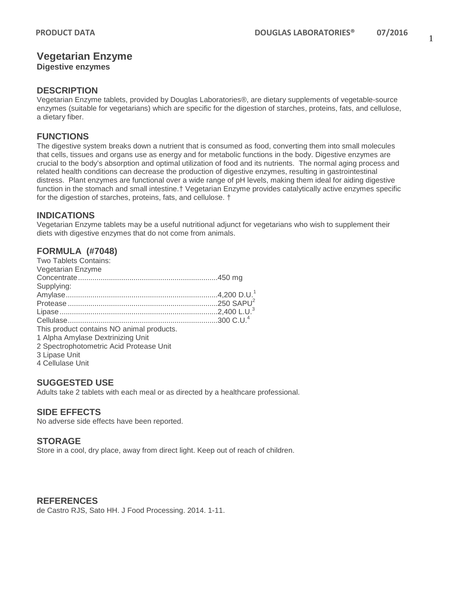# **Vegetarian Enzyme**

**Digestive enzymes**

#### **DESCRIPTION**

Vegetarian Enzyme tablets, provided by Douglas Laboratories®, are dietary supplements of vegetable-source enzymes (suitable for vegetarians) which are specific for the digestion of starches, proteins, fats, and cellulose, a dietary fiber.

## **FUNCTIONS**

The digestive system breaks down a nutrient that is consumed as food, converting them into small molecules that cells, tissues and organs use as energy and for metabolic functions in the body. Digestive enzymes are crucial to the body's absorption and optimal utilization of food and its nutrients. The normal aging process and related health conditions can decrease the production of digestive enzymes, resulting in gastrointestinal distress. Plant enzymes are functional over a wide range of pH levels, making them ideal for aiding digestive function in the stomach and small intestine.† Vegetarian Enzyme provides catalytically active enzymes specific for the digestion of starches, proteins, fats, and cellulose. †

## **INDICATIONS**

Vegetarian Enzyme tablets may be a useful nutritional adjunct for vegetarians who wish to supplement their diets with digestive enzymes that do not come from animals.

# **FORMULA (#7048)**

| Two Tablets Contains:                     |  |
|-------------------------------------------|--|
| Vegetarian Enzyme                         |  |
|                                           |  |
| Supplying:                                |  |
|                                           |  |
|                                           |  |
|                                           |  |
|                                           |  |
| This product contains NO animal products. |  |
| 1 Alpha Amylase Dextrinizing Unit         |  |
| 2 Spectrophotometric Acid Protease Unit   |  |
| 3 Lipase Unit                             |  |
| 4 Cellulase Unit                          |  |

### **SUGGESTED USE**

Adults take 2 tablets with each meal or as directed by a healthcare professional.

### **SIDE EFFECTS**

No adverse side effects have been reported.

### **STORAGE**

Store in a cool, dry place, away from direct light. Keep out of reach of children.

### **REFERENCES**

de Castro RJS, Sato HH. J Food Processing. 2014. 1-11.